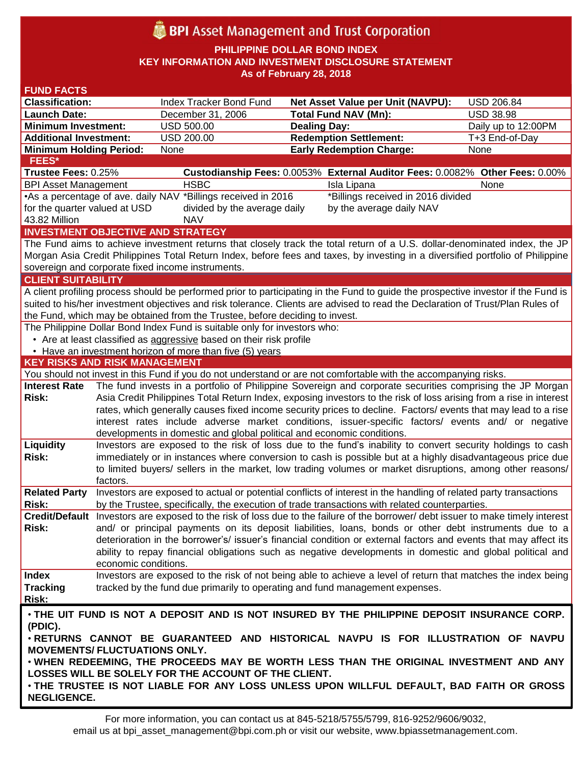# **BPI** Asset Management and Trust Corporation

**PHILIPPINE DOLLAR BOND INDEX**

**KEY INFORMATION AND INVESTMENT DISCLOSURE STATEMENT**

**As of February 28, 2018**

| <b>FUND FACTS</b>                    |                                                                                                                                                                                                                            |                                                                                                           |                                   |                                                                                                                                    |                     |  |  |  |
|--------------------------------------|----------------------------------------------------------------------------------------------------------------------------------------------------------------------------------------------------------------------------|-----------------------------------------------------------------------------------------------------------|-----------------------------------|------------------------------------------------------------------------------------------------------------------------------------|---------------------|--|--|--|
| <b>Classification:</b>               |                                                                                                                                                                                                                            | Index Tracker Bond Fund                                                                                   | Net Asset Value per Unit (NAVPU): |                                                                                                                                    | <b>USD 206.84</b>   |  |  |  |
| <b>Launch Date:</b>                  |                                                                                                                                                                                                                            | December 31, 2006                                                                                         | <b>Total Fund NAV (Mn):</b>       |                                                                                                                                    | <b>USD 38.98</b>    |  |  |  |
| <b>Minimum Investment:</b>           |                                                                                                                                                                                                                            | <b>USD 500.00</b>                                                                                         | <b>Dealing Day:</b>               |                                                                                                                                    | Daily up to 12:00PM |  |  |  |
| <b>Additional Investment:</b>        |                                                                                                                                                                                                                            | <b>USD 200.00</b>                                                                                         |                                   | <b>Redemption Settlement:</b>                                                                                                      | T+3 End-of-Day      |  |  |  |
| <b>Minimum Holding Period:</b>       |                                                                                                                                                                                                                            | None                                                                                                      |                                   | <b>Early Redemption Charge:</b>                                                                                                    | None                |  |  |  |
| <b>FEES*</b>                         |                                                                                                                                                                                                                            |                                                                                                           |                                   |                                                                                                                                    |                     |  |  |  |
| Trustee Fees: 0.25%                  |                                                                                                                                                                                                                            |                                                                                                           |                                   | Custodianship Fees: 0.0053% External Auditor Fees: 0.0082% Other Fees: 0.00%                                                       |                     |  |  |  |
| <b>BPI Asset Management</b>          |                                                                                                                                                                                                                            | <b>HSBC</b>                                                                                               |                                   | Isla Lipana                                                                                                                        | None                |  |  |  |
|                                      |                                                                                                                                                                                                                            | •As a percentage of ave. daily NAV *Billings received in 2016                                             |                                   | *Billings received in 2016 divided                                                                                                 |                     |  |  |  |
| for the quarter valued at USD        |                                                                                                                                                                                                                            | divided by the average daily                                                                              |                                   | by the average daily NAV                                                                                                           |                     |  |  |  |
| 43.82 Million                        |                                                                                                                                                                                                                            | <b>NAV</b>                                                                                                |                                   |                                                                                                                                    |                     |  |  |  |
|                                      |                                                                                                                                                                                                                            | <b>INVESTMENT OBJECTIVE AND STRATEGY</b>                                                                  |                                   |                                                                                                                                    |                     |  |  |  |
|                                      |                                                                                                                                                                                                                            |                                                                                                           |                                   | The Fund aims to achieve investment returns that closely track the total return of a U.S. dollar-denominated index, the JP         |                     |  |  |  |
|                                      |                                                                                                                                                                                                                            |                                                                                                           |                                   | Morgan Asia Credit Philippines Total Return Index, before fees and taxes, by investing in a diversified portfolio of Philippine    |                     |  |  |  |
|                                      |                                                                                                                                                                                                                            | sovereign and corporate fixed income instruments.                                                         |                                   |                                                                                                                                    |                     |  |  |  |
| <b>CLIENT SUITABILITY</b>            |                                                                                                                                                                                                                            |                                                                                                           |                                   |                                                                                                                                    |                     |  |  |  |
|                                      |                                                                                                                                                                                                                            |                                                                                                           |                                   | A client profiling process should be performed prior to participating in the Fund to guide the prospective investor if the Fund is |                     |  |  |  |
|                                      |                                                                                                                                                                                                                            | the Fund, which may be obtained from the Trustee, before deciding to invest.                              |                                   | suited to his/her investment objectives and risk tolerance. Clients are advised to read the Declaration of Trust/Plan Rules of     |                     |  |  |  |
|                                      |                                                                                                                                                                                                                            | The Philippine Dollar Bond Index Fund is suitable only for investors who:                                 |                                   |                                                                                                                                    |                     |  |  |  |
|                                      |                                                                                                                                                                                                                            | • Are at least classified as aggressive based on their risk profile                                       |                                   |                                                                                                                                    |                     |  |  |  |
|                                      |                                                                                                                                                                                                                            | • Have an investment horizon of more than five (5) years                                                  |                                   |                                                                                                                                    |                     |  |  |  |
| <b>KEY RISKS AND RISK MANAGEMENT</b> |                                                                                                                                                                                                                            |                                                                                                           |                                   |                                                                                                                                    |                     |  |  |  |
|                                      |                                                                                                                                                                                                                            |                                                                                                           |                                   | You should not invest in this Fund if you do not understand or are not comfortable with the accompanying risks.                    |                     |  |  |  |
| <b>Interest Rate</b>                 |                                                                                                                                                                                                                            |                                                                                                           |                                   | The fund invests in a portfolio of Philippine Sovereign and corporate securities comprising the JP Morgan                          |                     |  |  |  |
| <b>Risk:</b>                         |                                                                                                                                                                                                                            |                                                                                                           |                                   | Asia Credit Philippines Total Return Index, exposing investors to the risk of loss arising from a rise in interest                 |                     |  |  |  |
|                                      |                                                                                                                                                                                                                            |                                                                                                           |                                   | rates, which generally causes fixed income security prices to decline. Factors/ events that may lead to a rise                     |                     |  |  |  |
|                                      |                                                                                                                                                                                                                            |                                                                                                           |                                   | interest rates include adverse market conditions, issuer-specific factors/ events and/ or negative                                 |                     |  |  |  |
|                                      |                                                                                                                                                                                                                            | developments in domestic and global political and economic conditions.                                    |                                   |                                                                                                                                    |                     |  |  |  |
| Liquidity                            |                                                                                                                                                                                                                            |                                                                                                           |                                   | Investors are exposed to the risk of loss due to the fund's inability to convert security holdings to cash                         |                     |  |  |  |
| <b>Risk:</b>                         |                                                                                                                                                                                                                            |                                                                                                           |                                   | immediately or in instances where conversion to cash is possible but at a highly disadvantageous price due                         |                     |  |  |  |
|                                      |                                                                                                                                                                                                                            | to limited buyers/ sellers in the market, low trading volumes or market disruptions, among other reasons/ |                                   |                                                                                                                                    |                     |  |  |  |
|                                      | factors.                                                                                                                                                                                                                   |                                                                                                           |                                   |                                                                                                                                    |                     |  |  |  |
| <b>Related Party</b>                 |                                                                                                                                                                                                                            |                                                                                                           |                                   | Investors are exposed to actual or potential conflicts of interest in the handling of related party transactions                   |                     |  |  |  |
| <b>Risk:</b>                         |                                                                                                                                                                                                                            |                                                                                                           |                                   | by the Trustee, specifically, the execution of trade transactions with related counterparties.                                     |                     |  |  |  |
| Risk:                                | Credit/Default Investors are exposed to the risk of loss due to the failure of the borrower/debt issuer to make timely interest                                                                                            |                                                                                                           |                                   |                                                                                                                                    |                     |  |  |  |
|                                      | and/ or principal payments on its deposit liabilities, loans, bonds or other debt instruments due to a<br>deterioration in the borrower's/ issuer's financial condition or external factors and events that may affect its |                                                                                                           |                                   |                                                                                                                                    |                     |  |  |  |
|                                      |                                                                                                                                                                                                                            |                                                                                                           |                                   |                                                                                                                                    |                     |  |  |  |
|                                      |                                                                                                                                                                                                                            |                                                                                                           |                                   |                                                                                                                                    |                     |  |  |  |
|                                      |                                                                                                                                                                                                                            |                                                                                                           |                                   | ability to repay financial obligations such as negative developments in domestic and global political and                          |                     |  |  |  |
|                                      | economic conditions.                                                                                                                                                                                                       |                                                                                                           |                                   |                                                                                                                                    |                     |  |  |  |
| <b>Index</b>                         |                                                                                                                                                                                                                            |                                                                                                           |                                   | Investors are exposed to the risk of not being able to achieve a level of return that matches the index being                      |                     |  |  |  |
| <b>Tracking</b>                      |                                                                                                                                                                                                                            | tracked by the fund due primarily to operating and fund management expenses.                              |                                   |                                                                                                                                    |                     |  |  |  |
| <b>Risk:</b>                         |                                                                                                                                                                                                                            |                                                                                                           |                                   |                                                                                                                                    |                     |  |  |  |
|                                      |                                                                                                                                                                                                                            |                                                                                                           |                                   | . THE UIT FUND IS NOT A DEPOSIT AND IS NOT INSURED BY THE PHILIPPINE DEPOSIT INSURANCE CORP.                                       |                     |  |  |  |
| (PDIC).                              |                                                                                                                                                                                                                            |                                                                                                           |                                   |                                                                                                                                    |                     |  |  |  |
|                                      |                                                                                                                                                                                                                            |                                                                                                           |                                   | . RETURNS CANNOT BE GUARANTEED AND HISTORICAL NAVPU IS FOR ILLUSTRATION OF NAVPU                                                   |                     |  |  |  |
| <b>MOVEMENTS/ FLUCTUATIONS ONLY.</b> |                                                                                                                                                                                                                            |                                                                                                           |                                   |                                                                                                                                    |                     |  |  |  |
|                                      |                                                                                                                                                                                                                            |                                                                                                           |                                   | . WHEN REDEEMING, THE PROCEEDS MAY BE WORTH LESS THAN THE ORIGINAL INVESTMENT AND ANY                                              |                     |  |  |  |
|                                      |                                                                                                                                                                                                                            | LOSSES WILL BE SOLELY FOR THE ACCOUNT OF THE CLIENT.                                                      |                                   | . THE TRUSTEE IS NOT LIABLE FOR ANY LOSS UNLESS UPON WILLFUL DEFAULT, BAD FAITH OR GROSS                                           |                     |  |  |  |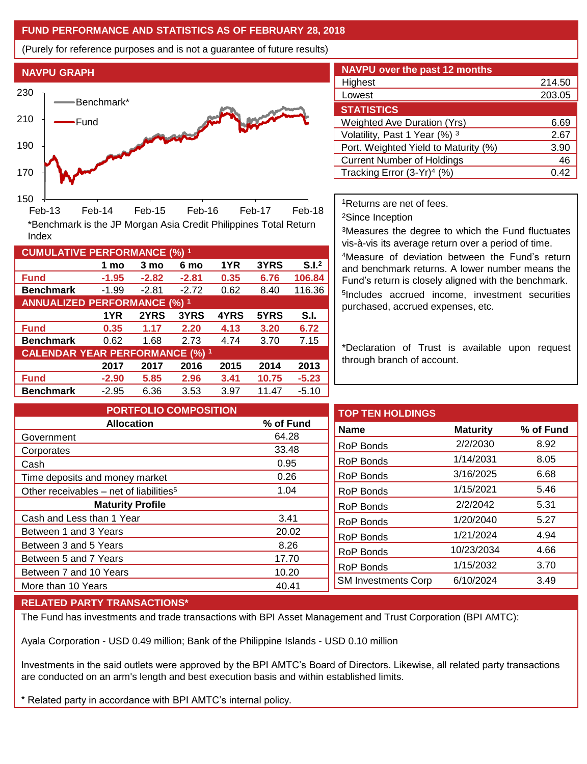## **FUND PERFORMANCE AND STATISTICS AS OF FEBRUARY 28, 2018**

(Purely for reference purposes and is not a guarantee of future results)



**Fund -1.95 -2.82 -2.81 0.35 6.76 106.84 Benchmark** -1.99 -2.81 -2.72 0.62 8.40 116.36

\*Benchmark is the JP Morgan Asia Credit Philippines Total Return

**Fund 0.35 1.17 2.20 4.13 3.20 6.72 Benchmark** 0.62 1.68 2.73 4.74 3.70 7.15

**Fund -2.90 5.85 2.96 3.41 10.75 -5.23 Benchmark** -2.95 6.36 3.53 3.97 11.47 -5.10

**1 mo 3 mo 6 mo 1YR 3YRS S.I.<sup>2</sup>**

**1YR 2YRS 3YRS 4YRS 5YRS S.I.**

**2017 2017 2016 2015 2014 2013**

| <b>NAVPU over the past 12 months</b>   |        |  |  |  |  |
|----------------------------------------|--------|--|--|--|--|
| Highest                                | 214.50 |  |  |  |  |
| Lowest                                 | 203.05 |  |  |  |  |
| <b>STATISTICS</b>                      |        |  |  |  |  |
| <b>Weighted Ave Duration (Yrs)</b>     | 6.69   |  |  |  |  |
| Volatility, Past 1 Year (%) 3          | 2.67   |  |  |  |  |
| Port. Weighted Yield to Maturity (%)   | 3.90   |  |  |  |  |
| <b>Current Number of Holdings</b>      | 46     |  |  |  |  |
| Tracking Error (3-Yr) <sup>4</sup> (%) | 0.42   |  |  |  |  |

<sup>1</sup>Returns are net of fees.

<sup>2</sup>Since Inception

<sup>3</sup>Measures the degree to which the Fund fluctuates vis-à-vis its average return over a period of time.

<sup>4</sup>Measure of deviation between the Fund's return and benchmark returns. A lower number means the Fund's return is closely aligned with the benchmark. 5 Includes accrued income, investment securities purchased, accrued expenses, etc.

\*Declaration of Trust is available upon request through branch of account.

| <b>PORTFOLIO COMPOSITION</b>                        |           | <b>TOP TEN HOLDINGS</b>              |                 |           |
|-----------------------------------------------------|-----------|--------------------------------------|-----------------|-----------|
| <b>Allocation</b>                                   | % of Fund | <b>Name</b>                          | <b>Maturity</b> | % of Fund |
| Government                                          | 64.28     |                                      |                 |           |
| Corporates                                          | 33.48     | <b>RoP Bonds</b>                     | 2/2/2030        | 8.92      |
| Cash                                                | 0.95      | <b>RoP Bonds</b>                     | 1/14/2031       | 8.05      |
| Time deposits and money market                      | 0.26      | <b>RoP Bonds</b>                     | 3/16/2025       | 6.68      |
| Other receivables - net of liabilities <sup>5</sup> | 1.04      | <b>RoP Bonds</b>                     | 1/15/2021       | 5.46      |
| <b>Maturity Profile</b>                             |           | <b>RoP Bonds</b>                     | 2/2/2042        | 5.31      |
| Cash and Less than 1 Year                           | 3.41      | <b>RoP Bonds</b>                     | 1/20/2040       | 5.27      |
| Between 1 and 3 Years                               | 20.02     | <b>RoP Bonds</b>                     | 1/21/2024       | 4.94      |
| Between 3 and 5 Years                               | 8.26      | <b>RoP Bonds</b><br><b>RoP Bonds</b> | 10/23/2034      | 4.66      |
| Between 5 and 7 Years                               | 17.70     |                                      |                 |           |
| Between 7 and 10 Years                              | 10.20     |                                      | 1/15/2032       | 3.70      |
| More than 10 Years                                  | 40.41     | <b>SM Investments Corp</b>           | 6/10/2024       | 3.49      |

### **RELATED PARTY TRANSACTIONS\***

**CUMULATIVE PERFORMANCE (%) <sup>1</sup>**

Index

**ANNUALIZED PERFORMANCE (%) <sup>1</sup>**

**CALENDAR YEAR PERFORMANCE (%) <sup>1</sup>**

The Fund has investments and trade transactions with BPI Asset Management and Trust Corporation (BPI AMTC):

Ayala Corporation - USD 0.49 million; Bank of the Philippine Islands - USD 0.10 million

Investments in the said outlets were approved by the BPI AMTC's Board of Directors. Likewise, all related party transactions are conducted on an arm's length and best execution basis and within established limits.

\* Related party in accordance with BPI AMTC's internal policy.